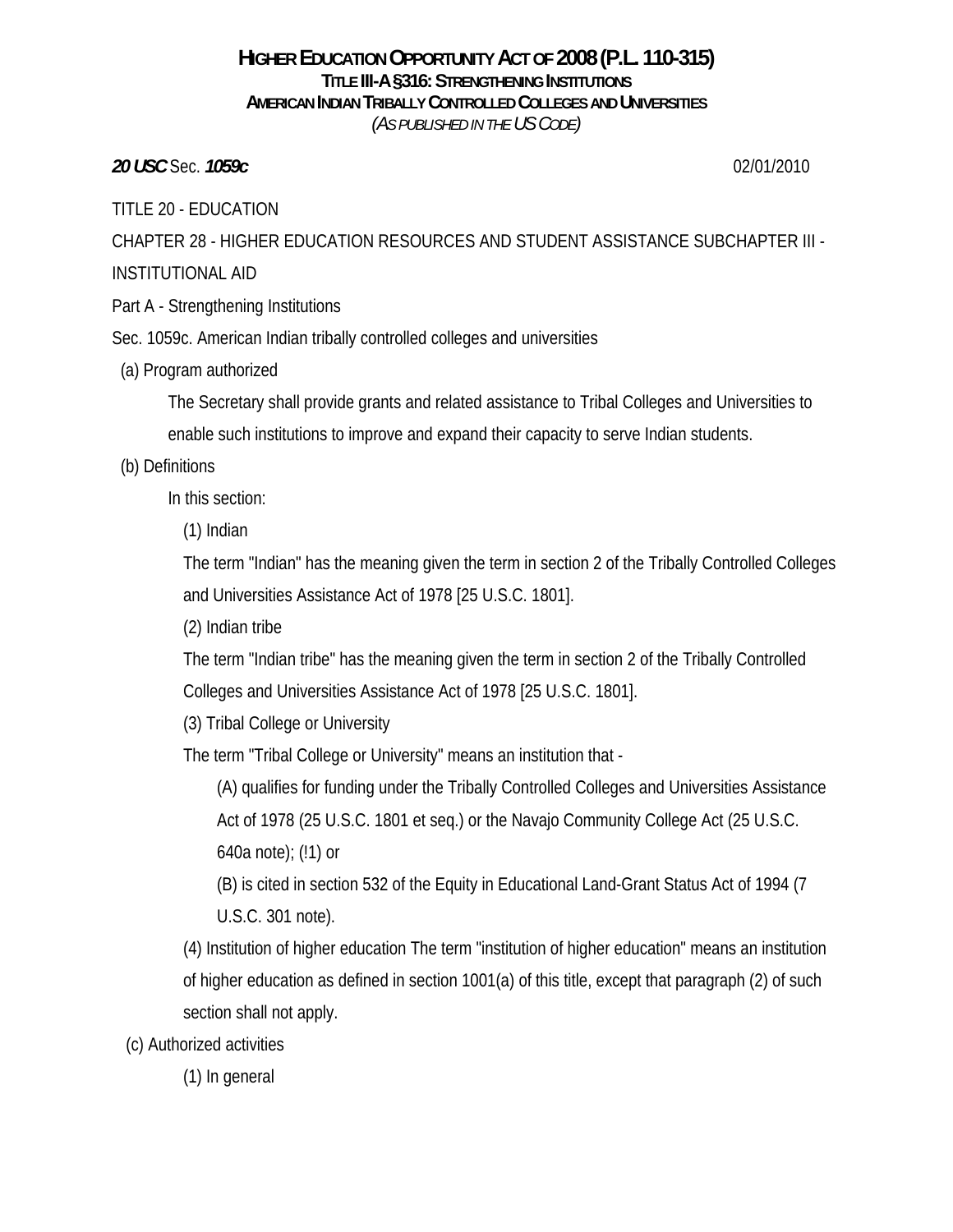#### **HIGHER EDUCATION OPPORTUNITY ACT OF 2008 (P.L. 110-315) TITLE III-A §316: STRENGTHENING INSTITUTIONS AMERICAN INDIAN TRIBALLY CONTROLLED COLLEGES AND UNIVERSITIES** *(AS PUBLISHED IN THE US CODE)*

*20 USC* Sec. *1059c* 02/01/2010

TITLE 20 - EDUCATION

CHAPTER 28 - HIGHER EDUCATION RESOURCES AND STUDENT ASSISTANCE SUBCHAPTER III - INSTITUTIONAL AID

Part A - Strengthening Institutions

Sec. 1059c. American Indian tribally controlled colleges and universities

(a) Program authorized

The Secretary shall provide grants and related assistance to Tribal Colleges and Universities to enable such institutions to improve and expand their capacity to serve Indian students.

### (b) Definitions

In this section:

(1) Indian

The term "Indian" has the meaning given the term in section 2 of the Tribally Controlled Colleges and Universities Assistance Act of 1978 [25 U.S.C. 1801].

(2) Indian tribe

The term "Indian tribe" has the meaning given the term in section 2 of the Tribally Controlled Colleges and Universities Assistance Act of 1978 [25 U.S.C. 1801].

(3) Tribal College or University

The term "Tribal College or University" means an institution that -

(A) qualifies for funding under the Tribally Controlled Colleges and Universities Assistance Act of 1978 (25 U.S.C. 1801 et seq.) or the Navajo Community College Act (25 U.S.C. 640a note); (!1) or

(B) is cited in section 532 of the Equity in Educational Land-Grant Status Act of 1994 (7 U.S.C. 301 note).

(4) Institution of higher education The term "institution of higher education" means an institution of higher education as defined in section 1001(a) of this title, except that paragraph (2) of such section shall not apply.

(c) Authorized activities

(1) In general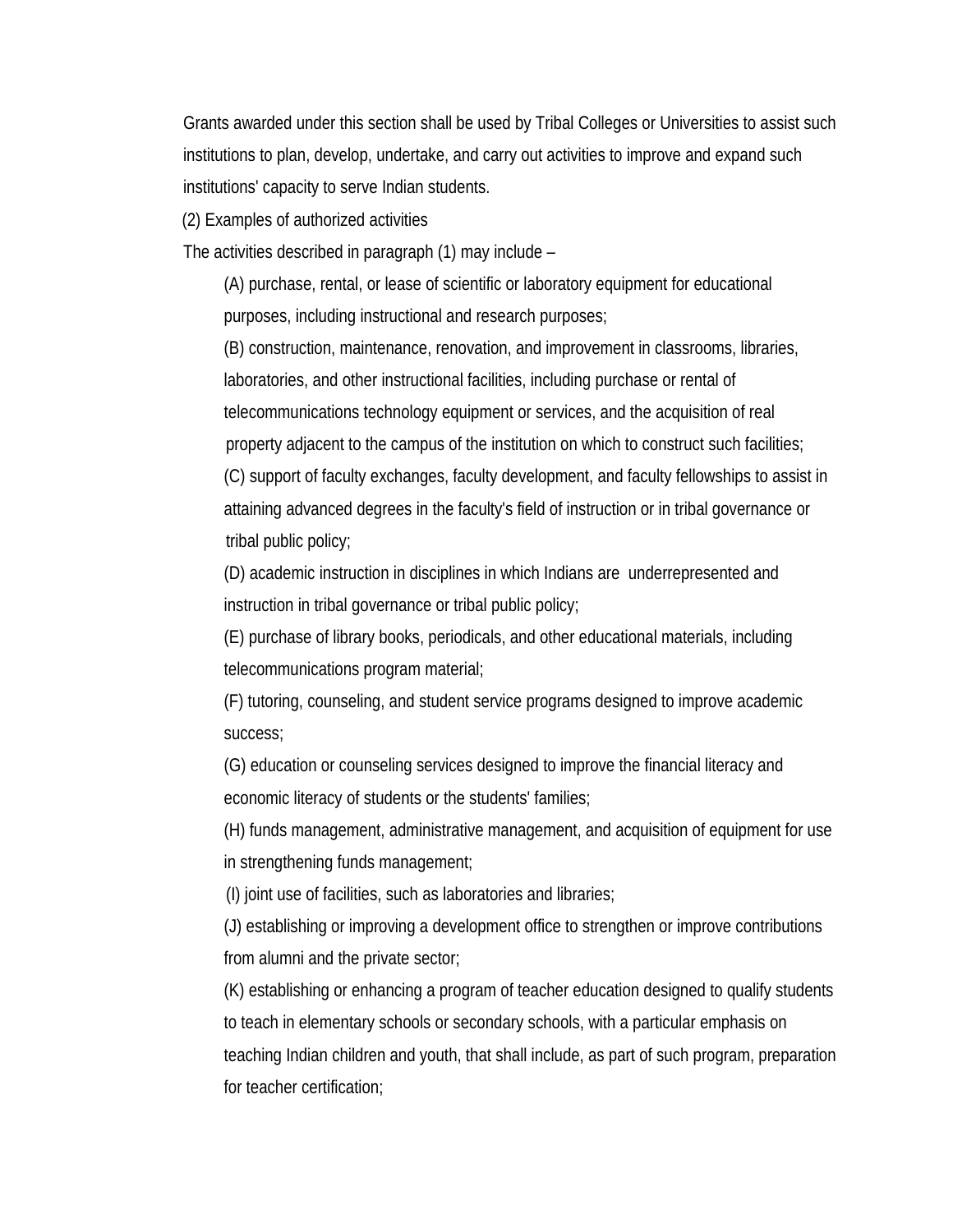Grants awarded under this section shall be used by Tribal Colleges or Universities to assist such institutions to plan, develop, undertake, and carry out activities to improve and expand such institutions' capacity to serve Indian students.

(2) Examples of authorized activities

The activities described in paragraph (1) may include –

(A) purchase, rental, or lease of scientific or laboratory equipment for educational purposes, including instructional and research purposes;

(B) construction, maintenance, renovation, and improvement in classrooms, libraries, laboratories, and other instructional facilities, including purchase or rental of telecommunications technology equipment or services, and the acquisition of real property adjacent to the campus of the institution on which to construct such facilities;

(C) support of faculty exchanges, faculty development, and faculty fellowships to assist in attaining advanced degrees in the faculty's field of instruction or in tribal governance or tribal public policy;

(D) academic instruction in disciplines in which Indians are underrepresented and instruction in tribal governance or tribal public policy;

(E) purchase of library books, periodicals, and other educational materials, including telecommunications program material;

(F) tutoring, counseling, and student service programs designed to improve academic success;

(G) education or counseling services designed to improve the financial literacy and economic literacy of students or the students' families;

(H) funds management, administrative management, and acquisition of equipment for use in strengthening funds management;

(I) joint use of facilities, such as laboratories and libraries;

(J) establishing or improving a development office to strengthen or improve contributions from alumni and the private sector;

(K) establishing or enhancing a program of teacher education designed to qualify students to teach in elementary schools or secondary schools, with a particular emphasis on teaching Indian children and youth, that shall include, as part of such program, preparation for teacher certification;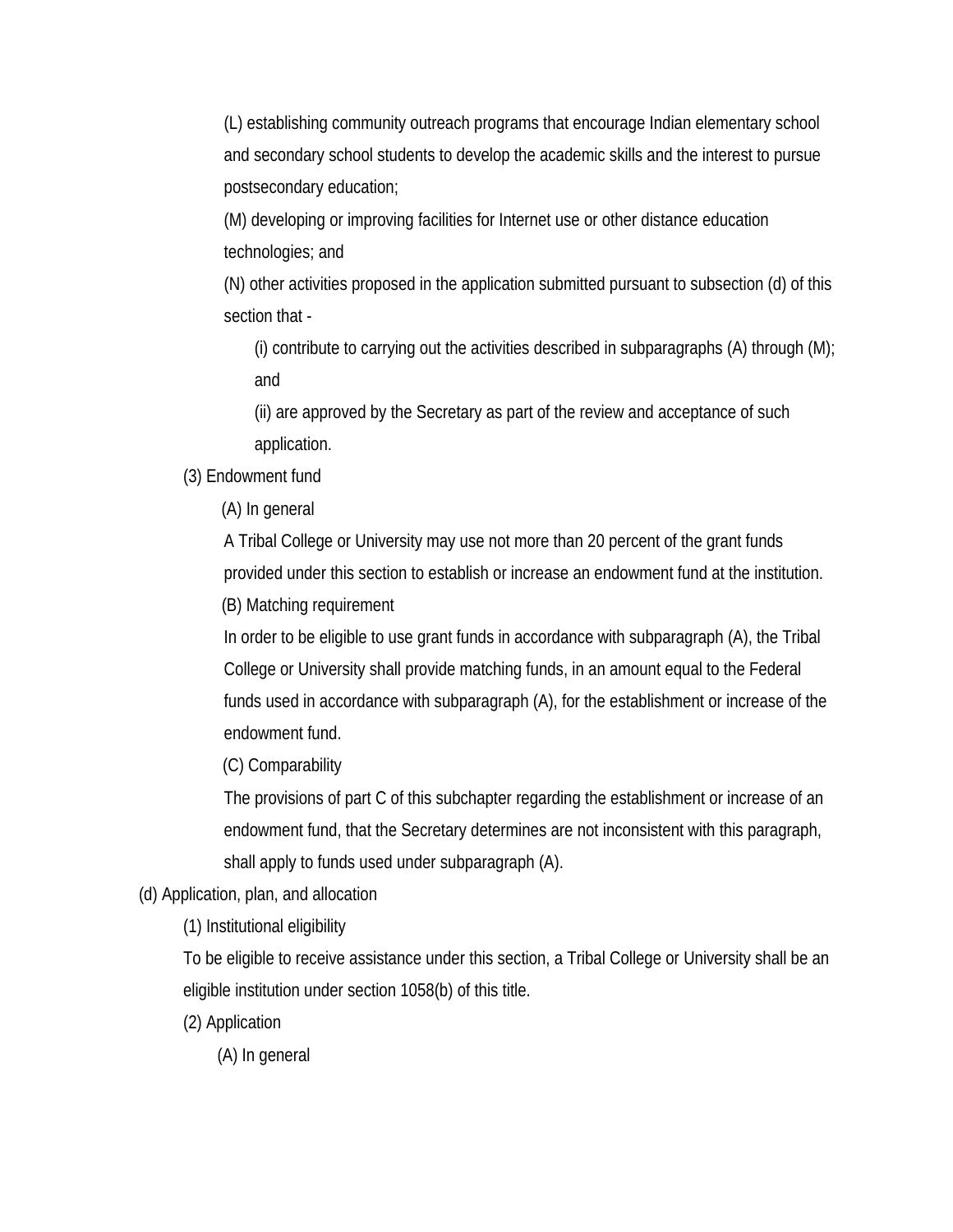(L) establishing community outreach programs that encourage Indian elementary school and secondary school students to develop the academic skills and the interest to pursue postsecondary education;

(M) developing or improving facilities for Internet use or other distance education technologies; and

(N) other activities proposed in the application submitted pursuant to subsection (d) of this section that -

(i) contribute to carrying out the activities described in subparagraphs  $(A)$  through  $(M)$ ; and

(ii) are approved by the Secretary as part of the review and acceptance of such application.

(3) Endowment fund

(A) In general

A Tribal College or University may use not more than 20 percent of the grant funds provided under this section to establish or increase an endowment fund at the institution.

(B) Matching requirement

In order to be eligible to use grant funds in accordance with subparagraph (A), the Tribal College or University shall provide matching funds, in an amount equal to the Federal funds used in accordance with subparagraph (A), for the establishment or increase of the endowment fund.

(C) Comparability

The provisions of part C of this subchapter regarding the establishment or increase of an endowment fund, that the Secretary determines are not inconsistent with this paragraph, shall apply to funds used under subparagraph (A).

(d) Application, plan, and allocation

(1) Institutional eligibility

To be eligible to receive assistance under this section, a Tribal College or University shall be an eligible institution under section 1058(b) of this title.

(2) Application

(A) In general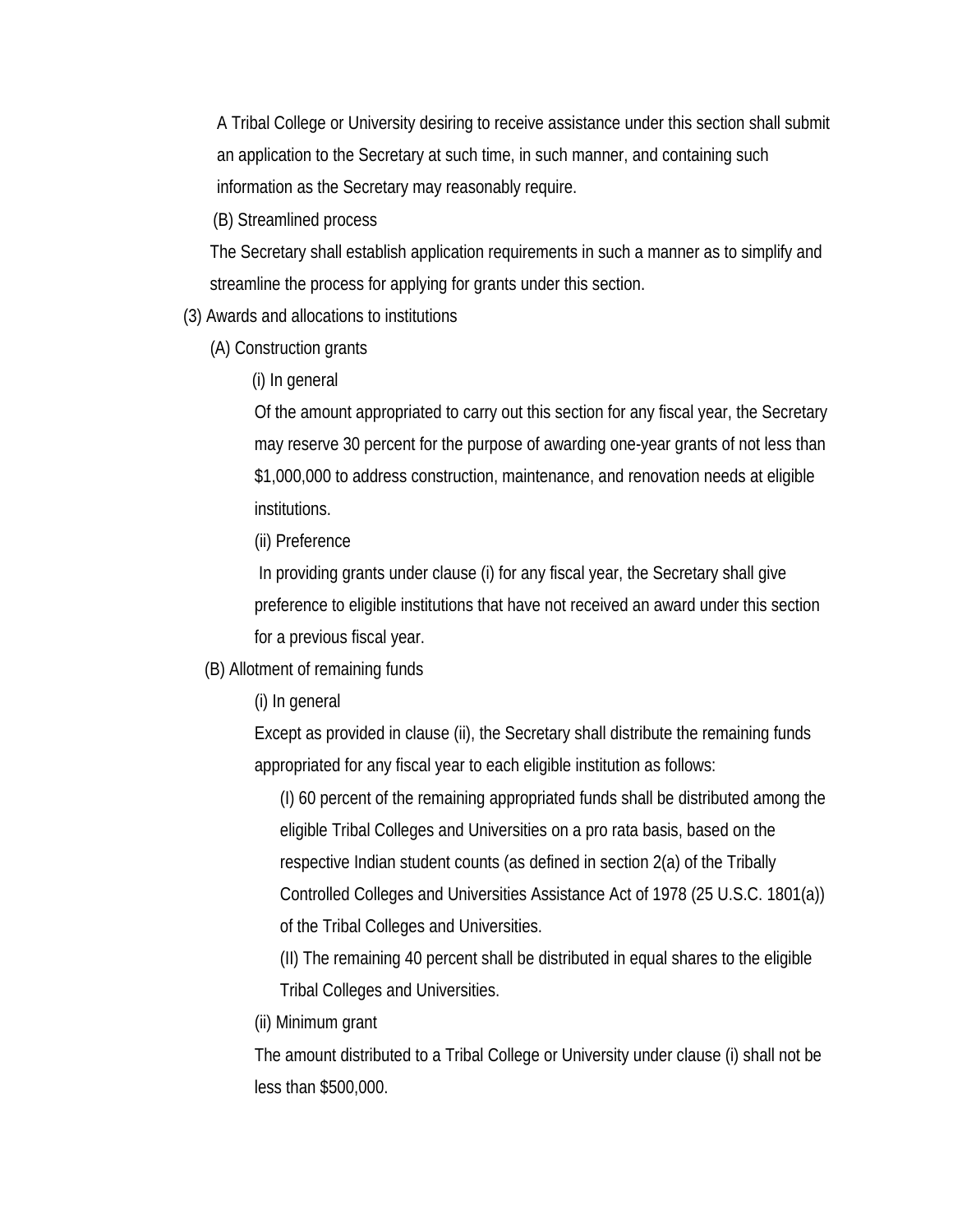A Tribal College or University desiring to receive assistance under this section shall submit an application to the Secretary at such time, in such manner, and containing such information as the Secretary may reasonably require.

(B) Streamlined process

The Secretary shall establish application requirements in such a manner as to simplify and streamline the process for applying for grants under this section.

(3) Awards and allocations to institutions

(A) Construction grants

(i) In general

Of the amount appropriated to carry out this section for any fiscal year, the Secretary may reserve 30 percent for the purpose of awarding one-year grants of not less than \$1,000,000 to address construction, maintenance, and renovation needs at eligible institutions.

(ii) Preference

 In providing grants under clause (i) for any fiscal year, the Secretary shall give preference to eligible institutions that have not received an award under this section for a previous fiscal year.

(B) Allotment of remaining funds

(i) In general

Except as provided in clause (ii), the Secretary shall distribute the remaining funds appropriated for any fiscal year to each eligible institution as follows:

(I) 60 percent of the remaining appropriated funds shall be distributed among the eligible Tribal Colleges and Universities on a pro rata basis, based on the respective Indian student counts (as defined in section 2(a) of the Tribally Controlled Colleges and Universities Assistance Act of 1978 (25 U.S.C. 1801(a)) of the Tribal Colleges and Universities.

(II) The remaining 40 percent shall be distributed in equal shares to the eligible Tribal Colleges and Universities.

(ii) Minimum grant

The amount distributed to a Tribal College or University under clause (i) shall not be less than \$500,000.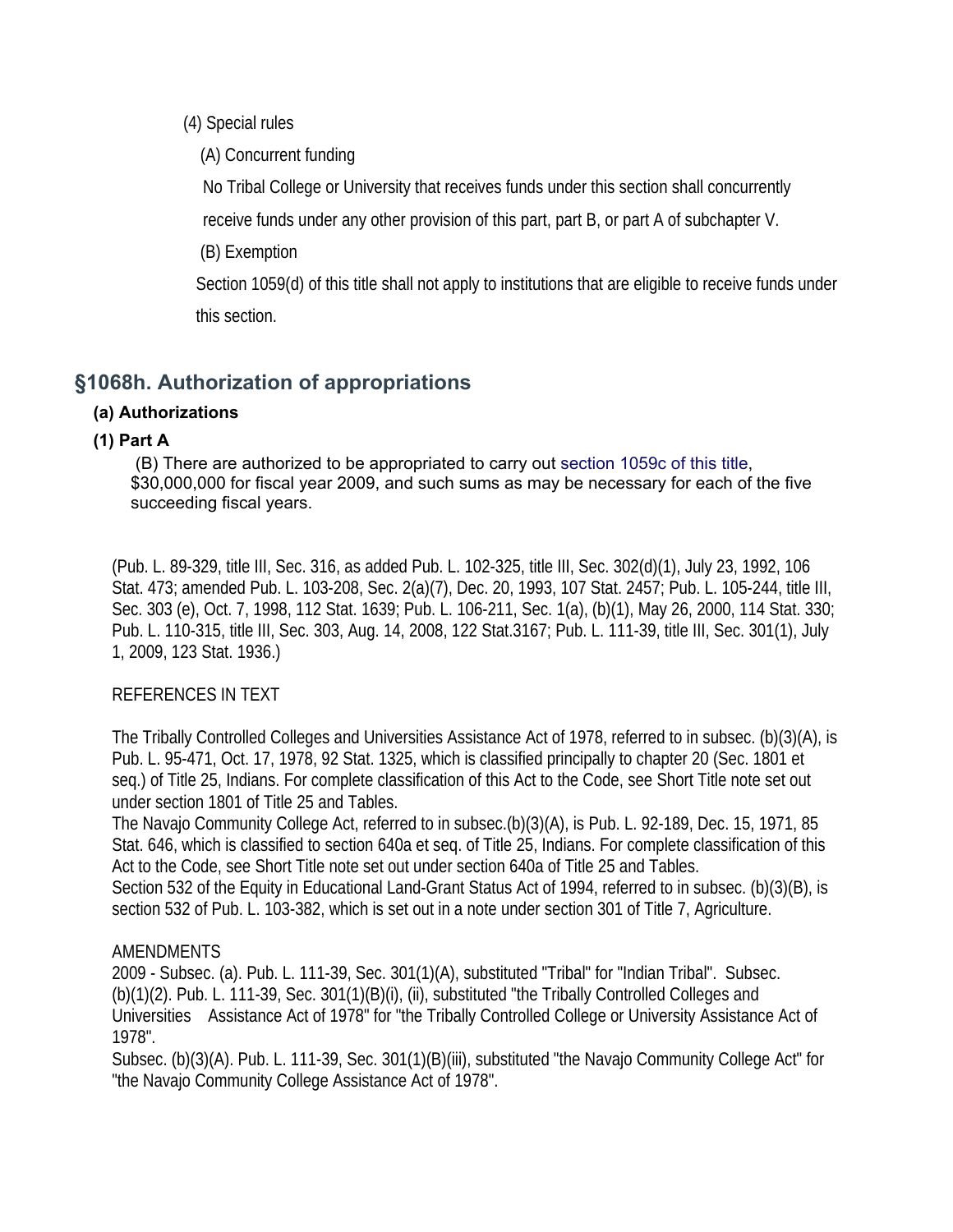(4) Special rules

(A) Concurrent funding

No Tribal College or University that receives funds under this section shall concurrently

receive funds under any other provision of this part, part B, or part A of subchapter V.

(B) Exemption

Section 1059(d) of this title shall not apply to institutions that are eligible to receive funds under this section.

# **§1068h. Authorization of appropriations**

# **(a) Authorizations**

# **(1) Part A**

 (B) There are authorized to be appropriated to carry out section 1059c of this title, \$30,000,000 for fiscal year 2009, and such sums as may be necessary for each of the five succeeding fiscal years.

(Pub. L. 89-329, title III, Sec. 316, as added Pub. L. 102-325, title III, Sec. 302(d)(1), July 23, 1992, 106 Stat. 473; amended Pub. L. 103-208, Sec. 2(a)(7), Dec. 20, 1993, 107 Stat. 2457; Pub. L. 105-244, title III, Sec. 303 (e), Oct. 7, 1998, 112 Stat. 1639; Pub. L. 106-211, Sec. 1(a), (b)(1), May 26, 2000, 114 Stat. 330; Pub. L. 110-315, title III, Sec. 303, Aug. 14, 2008, 122 Stat.3167; Pub. L. 111-39, title III, Sec. 301(1), July 1, 2009, 123 Stat. 1936.)

# REFERENCES IN TEXT

The Tribally Controlled Colleges and Universities Assistance Act of 1978, referred to in subsec. (b)(3)(A), is Pub. L. 95-471, Oct. 17, 1978, 92 Stat. 1325, which is classified principally to chapter 20 (Sec. 1801 et seq.) of Title 25, Indians. For complete classification of this Act to the Code, see Short Title note set out under section 1801 of Title 25 and Tables.

The Navajo Community College Act, referred to in subsec.(b)(3)(A), is Pub. L. 92-189, Dec. 15, 1971, 85 Stat. 646, which is classified to section 640a et seq. of Title 25, Indians. For complete classification of this Act to the Code, see Short Title note set out under section 640a of Title 25 and Tables. Section 532 of the Equity in Educational Land-Grant Status Act of 1994, referred to in subsec. (b)(3)(B), is section 532 of Pub. L. 103-382, which is set out in a note under section 301 of Title 7, Agriculture.

# AMENDMENTS

2009 - Subsec. (a). Pub. L. 111-39, Sec. 301(1)(A), substituted "Tribal" for "Indian Tribal". Subsec. (b)(1)(2). Pub. L. 111-39, Sec. 301(1)(B)(i), (ii), substituted "the Tribally Controlled Colleges and Universities Assistance Act of 1978" for "the Tribally Controlled College or University Assistance Act of 1978".

Subsec. (b)(3)(A). Pub. L. 111-39, Sec. 301(1)(B)(iii), substituted "the Navajo Community College Act" for "the Navajo Community College Assistance Act of 1978".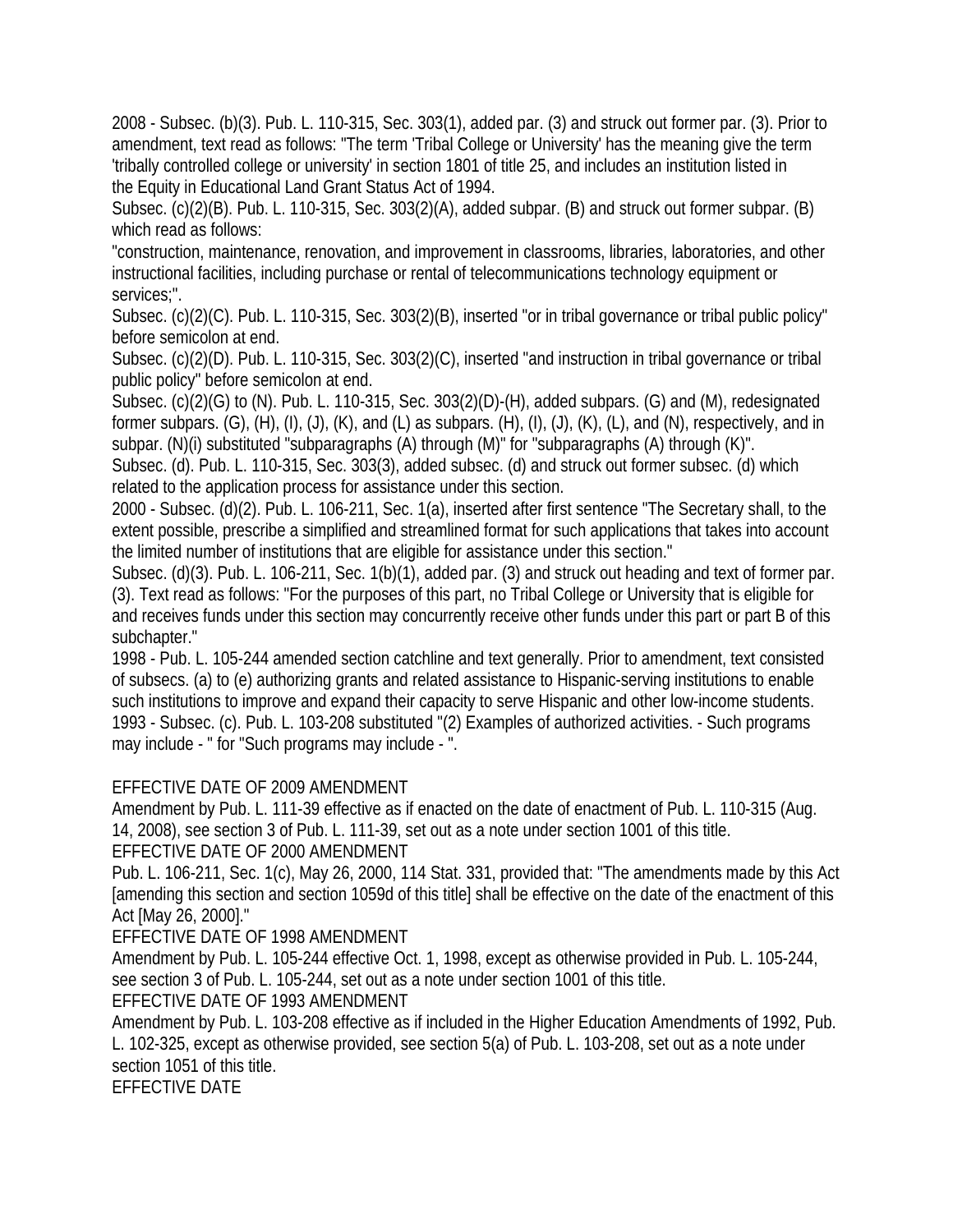2008 - Subsec. (b)(3). Pub. L. 110-315, Sec. 303(1), added par. (3) and struck out former par. (3). Prior to amendment, text read as follows: "The term 'Tribal College or University' has the meaning give the term 'tribally controlled college or university' in section 1801 of title 25, and includes an institution listed in the Equity in Educational Land Grant Status Act of 1994.

Subsec. (c)(2)(B). Pub. L. 110-315, Sec. 303(2)(A), added subpar. (B) and struck out former subpar. (B) which read as follows:

"construction, maintenance, renovation, and improvement in classrooms, libraries, laboratories, and other instructional facilities, including purchase or rental of telecommunications technology equipment or services;".

Subsec. (c)(2)(C). Pub. L. 110-315, Sec. 303(2)(B), inserted "or in tribal governance or tribal public policy" before semicolon at end.

Subsec. (c)(2)(D). Pub. L. 110-315, Sec. 303(2)(C), inserted "and instruction in tribal governance or tribal public policy" before semicolon at end.

Subsec. (c)(2)(G) to (N). Pub. L. 110-315, Sec. 303(2)(D)-(H), added subpars. (G) and (M), redesignated former subpars. (G), (H), (I), (J), (K), and (L) as subpars. (H), (I), (J), (K), (L), and (N), respectively, and in subpar. (N)(i) substituted "subparagraphs (A) through (M)" for "subparagraphs (A) through (K)".

Subsec. (d). Pub. L. 110-315, Sec. 303(3), added subsec. (d) and struck out former subsec. (d) which related to the application process for assistance under this section.

2000 - Subsec. (d)(2). Pub. L. 106-211, Sec. 1(a), inserted after first sentence "The Secretary shall, to the extent possible, prescribe a simplified and streamlined format for such applications that takes into account the limited number of institutions that are eligible for assistance under this section."

Subsec. (d)(3). Pub. L. 106-211, Sec. 1(b)(1), added par. (3) and struck out heading and text of former par. (3). Text read as follows: "For the purposes of this part, no Tribal College or University that is eligible for and receives funds under this section may concurrently receive other funds under this part or part B of this subchapter."

1998 - Pub. L. 105-244 amended section catchline and text generally. Prior to amendment, text consisted of subsecs. (a) to (e) authorizing grants and related assistance to Hispanic-serving institutions to enable such institutions to improve and expand their capacity to serve Hispanic and other low-income students. 1993 - Subsec. (c). Pub. L. 103-208 substituted "(2) Examples of authorized activities. - Such programs may include - " for "Such programs may include - ".

# EFFECTIVE DATE OF 2009 AMENDMENT

Amendment by Pub. L. 111-39 effective as if enacted on the date of enactment of Pub. L. 110-315 (Aug. 14, 2008), see section 3 of Pub. L. 111-39, set out as a note under section 1001 of this title.

EFFECTIVE DATE OF 2000 AMENDMENT

Pub. L. 106-211, Sec. 1(c), May 26, 2000, 114 Stat. 331, provided that: "The amendments made by this Act [amending this section and section 1059d of this title] shall be effective on the date of the enactment of this Act [May 26, 2000]."

EFFECTIVE DATE OF 1998 AMENDMENT

Amendment by Pub. L. 105-244 effective Oct. 1, 1998, except as otherwise provided in Pub. L. 105-244, see section 3 of Pub. L. 105-244, set out as a note under section 1001 of this title.

# EFFECTIVE DATE OF 1993 AMENDMENT

Amendment by Pub. L. 103-208 effective as if included in the Higher Education Amendments of 1992, Pub. L. 102-325, except as otherwise provided, see section 5(a) of Pub. L. 103-208, set out as a note under section 1051 of this title.

EFFECTIVE DATE